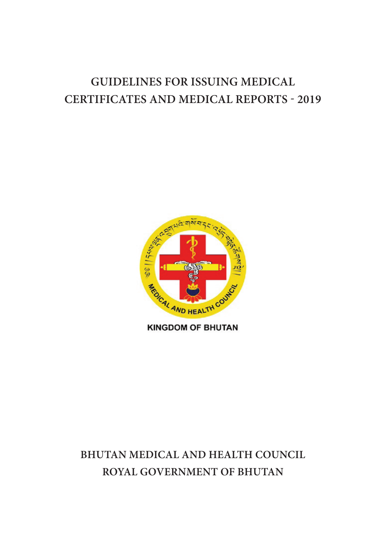# **Guidelines for ISSUING Medical Certificates and Medical Reports - 2019**



**KINGDOM OF BHUTAN** 

# **Bhutan Medical and Health Council Royal Government of Bhutan**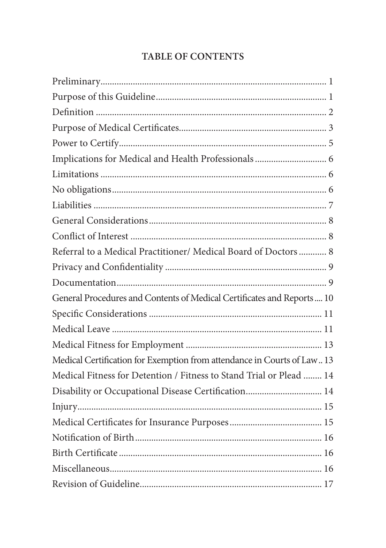# **TABLE OF CONTENTS**

| Referral to a Medical Practitioner/ Medical Board of Doctors  8         |
|-------------------------------------------------------------------------|
|                                                                         |
|                                                                         |
| General Procedures and Contents of Medical Certificates and Reports 10  |
|                                                                         |
|                                                                         |
|                                                                         |
| Medical Certification for Exemption from attendance in Courts of Law 13 |
| Medical Fitness for Detention / Fitness to Stand Trial or Plead  14     |
| Disability or Occupational Disease Certification 14                     |
|                                                                         |
|                                                                         |
|                                                                         |
|                                                                         |
|                                                                         |
|                                                                         |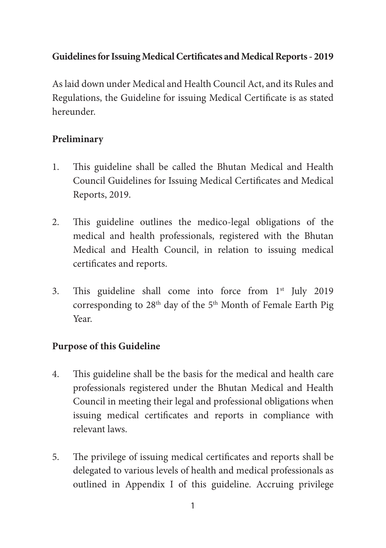# **Guidelines for Issuing Medical Certificates and Medical Reports - 2019**

As laid down under Medical and Health Council Act, and its Rules and Regulations, the Guideline for issuing Medical Certificate is as stated hereunder.

# **Preliminary**

- 1. This guideline shall be called the Bhutan Medical and Health Council Guidelines for Issuing Medical Certificates and Medical Reports, 2019.
- 2. This guideline outlines the medico-legal obligations of the medical and health professionals, registered with the Bhutan Medical and Health Council, in relation to issuing medical certificates and reports.
- 3. This guideline shall come into force from 1st July 2019 corresponding to 28<sup>th</sup> day of the 5<sup>th</sup> Month of Female Earth Pig Year.

# **Purpose of this Guideline**

- 4. This guideline shall be the basis for the medical and health care professionals registered under the Bhutan Medical and Health Council in meeting their legal and professional obligations when issuing medical certificates and reports in compliance with relevant laws.
- 5. The privilege of issuing medical certificates and reports shall be delegated to various levels of health and medical professionals as outlined in Appendix I of this guideline. Accruing privilege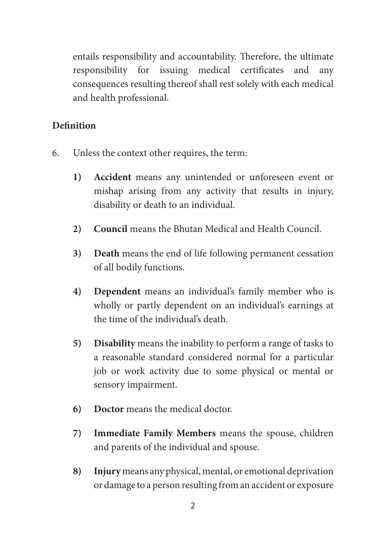entails responsibility and accountability. Therefore, the ultimate responsibility for issuing medical certificates and any consequences resulting thereof shall rest solely with each medical and health professional.

### **Definition**

- 6. Unless the context other requires, the term:
	- **1) Accident** means any unintended or unforeseen event or mishap arising from any activity that results in injury, disability or death to an individual.
	- **2) Council** means the Bhutan Medical and Health Council.
	- **3) Death** means the end of life following permanent cessation of all bodily functions.
	- **4) Dependent** means an individual's family member who is wholly or partly dependent on an individual's earnings at the time of the individual's death.
	- **5) Disability** means the inability to perform a range of tasks to a reasonable standard considered normal for a particular job or work activity due to some physical or mental or sensory impairment.
	- **6) Doctor** means the medical doctor.
	- **7) Immediate Family Members** means the spouse, children and parents of the individual and spouse.
	- **8) Injury** means any physical, mental, or emotional deprivation or damage to a person resulting from an accident or exposure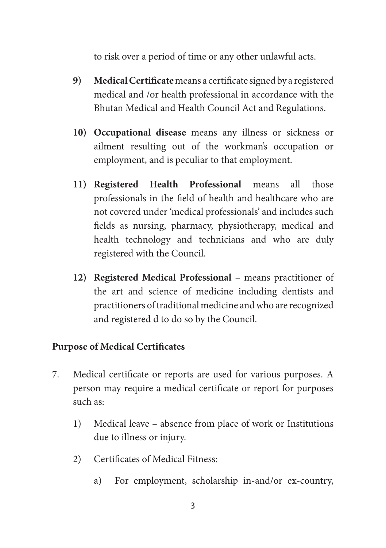to risk over a period of time or any other unlawful acts.

- **9) Medical Certificate** means a certificate signed by a registered medical and /or health professional in accordance with the Bhutan Medical and Health Council Act and Regulations.
- **10) Occupational disease** means any illness or sickness or ailment resulting out of the workman's occupation or employment, and is peculiar to that employment.
- **11) Registered Health Professional** means all those professionals in the field of health and healthcare who are not covered under 'medical professionals' and includes such fields as nursing, pharmacy, physiotherapy, medical and health technology and technicians and who are duly registered with the Council.
- **12) Registered Medical Professional**  means practitioner of the art and science of medicine including dentists and practitioners of traditional medicine and who are recognized and registered d to do so by the Council.

### **Purpose of Medical Certificates**

- 7. Medical certificate or reports are used for various purposes. A person may require a medical certificate or report for purposes such as:
	- 1) Medical leave absence from place of work or Institutions due to illness or injury.
	- 2) Certificates of Medical Fitness:
		- a) For employment, scholarship in-and/or ex-country,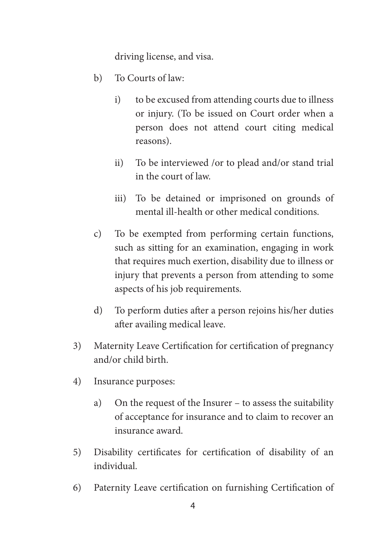driving license, and visa.

- b) To Courts of law:
	- i) to be excused from attending courts due to illness or injury. (To be issued on Court order when a person does not attend court citing medical reasons).
	- ii) To be interviewed /or to plead and/or stand trial in the court of law.
	- iii) To be detained or imprisoned on grounds of mental ill-health or other medical conditions.
- c) To be exempted from performing certain functions, such as sitting for an examination, engaging in work that requires much exertion, disability due to illness or injury that prevents a person from attending to some aspects of his job requirements.
- d) To perform duties after a person rejoins his/her duties after availing medical leave.
- 3) Maternity Leave Certification for certification of pregnancy and/or child birth.
- 4) Insurance purposes:
	- a) On the request of the Insurer to assess the suitability of acceptance for insurance and to claim to recover an insurance award.
- 5) Disability certificates for certification of disability of an individual.
- 6) Paternity Leave certification on furnishing Certification of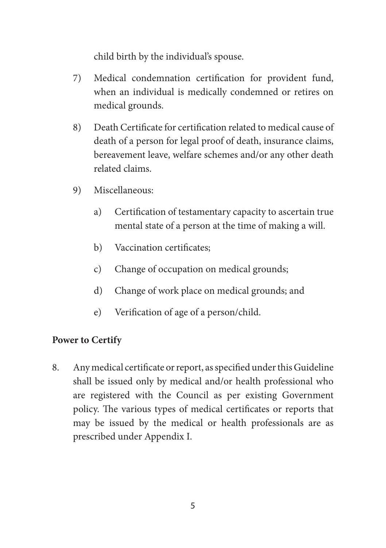child birth by the individual's spouse.

- 7) Medical condemnation certification for provident fund, when an individual is medically condemned or retires on medical grounds.
- 8) Death Certificate for certification related to medical cause of death of a person for legal proof of death, insurance claims, bereavement leave, welfare schemes and/or any other death related claims.
- 9) Miscellaneous:
	- a) Certification of testamentary capacity to ascertain true mental state of a person at the time of making a will.
	- b) Vaccination certificates;
	- c) Change of occupation on medical grounds;
	- d) Change of work place on medical grounds; and
	- e) Verification of age of a person/child.

# **Power to Certify**

8. Any medical certificate or report, as specified under this Guideline shall be issued only by medical and/or health professional who are registered with the Council as per existing Government policy. The various types of medical certificates or reports that may be issued by the medical or health professionals are as prescribed under Appendix I.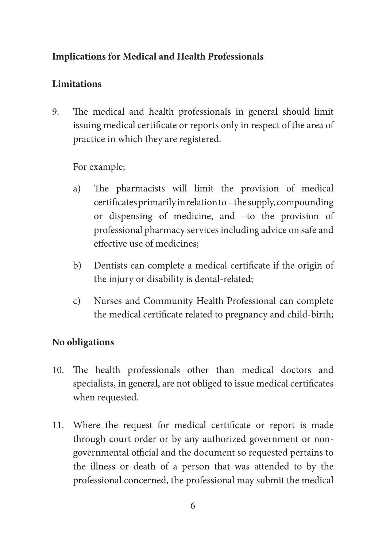# **Implications for Medical and Health Professionals**

# **Limitations**

9. The medical and health professionals in general should limit issuing medical certificate or reports only in respect of the area of practice in which they are registered.

For example;

- a) The pharmacists will limit the provision of medical certificates primarily in relation to – the supply, compounding or dispensing of medicine, and –to the provision of professional pharmacy services including advice on safe and effective use of medicines;
- b) Dentists can complete a medical certificate if the origin of the injury or disability is dental-related;
- c) Nurses and Community Health Professional can complete the medical certificate related to pregnancy and child-birth;

# **No obligations**

- 10. The health professionals other than medical doctors and specialists, in general, are not obliged to issue medical certificates when requested.
- 11. Where the request for medical certificate or report is made through court order or by any authorized government or nongovernmental official and the document so requested pertains to the illness or death of a person that was attended to by the professional concerned, the professional may submit the medical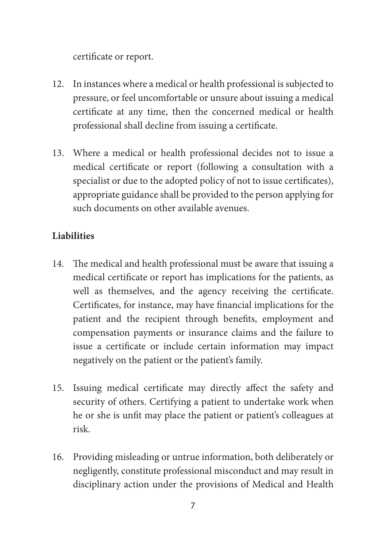certificate or report.

- 12. In instances where a medical or health professional is subjected to pressure, or feel uncomfortable or unsure about issuing a medical certificate at any time, then the concerned medical or health professional shall decline from issuing a certificate.
- 13. Where a medical or health professional decides not to issue a medical certificate or report (following a consultation with a specialist or due to the adopted policy of not to issue certificates), appropriate guidance shall be provided to the person applying for such documents on other available avenues.

# **Liabilities**

- 14. The medical and health professional must be aware that issuing a medical certificate or report has implications for the patients, as well as themselves, and the agency receiving the certificate. Certificates, for instance, may have financial implications for the patient and the recipient through benefits, employment and compensation payments or insurance claims and the failure to issue a certificate or include certain information may impact negatively on the patient or the patient's family.
- 15. Issuing medical certificate may directly affect the safety and security of others. Certifying a patient to undertake work when he or she is unfit may place the patient or patient's colleagues at risk.
- 16. Providing misleading or untrue information, both deliberately or negligently, constitute professional misconduct and may result in disciplinary action under the provisions of Medical and Health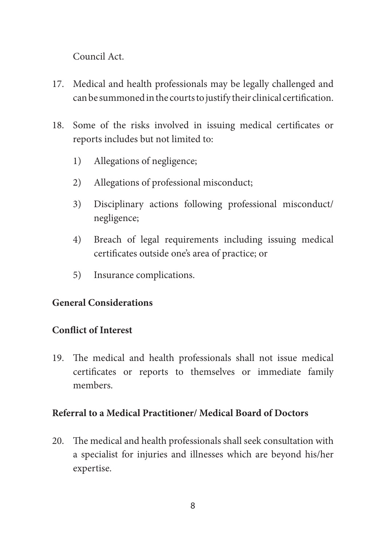Council Act.

- 17. Medical and health professionals may be legally challenged and can be summoned in the courts to justify their clinical certification.
- 18. Some of the risks involved in issuing medical certificates or reports includes but not limited to:
	- 1) Allegations of negligence;
	- 2) Allegations of professional misconduct;
	- 3) Disciplinary actions following professional misconduct/ negligence;
	- 4) Breach of legal requirements including issuing medical certificates outside one's area of practice; or
	- 5) Insurance complications.

### **General Considerations**

### **Conflict of Interest**

19. The medical and health professionals shall not issue medical certificates or reports to themselves or immediate family members.

#### **Referral to a Medical Practitioner/ Medical Board of Doctors**

20. The medical and health professionals shall seek consultation with a specialist for injuries and illnesses which are beyond his/her expertise.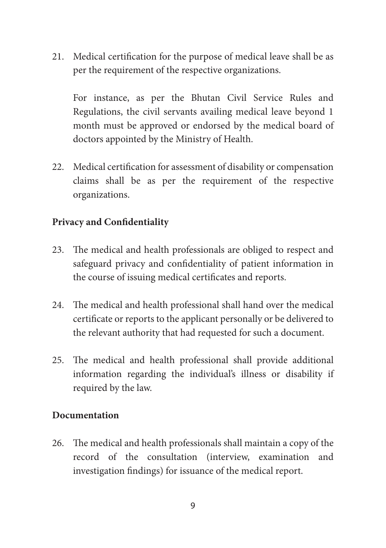21. Medical certification for the purpose of medical leave shall be as per the requirement of the respective organizations.

For instance, as per the Bhutan Civil Service Rules and Regulations, the civil servants availing medical leave beyond 1 month must be approved or endorsed by the medical board of doctors appointed by the Ministry of Health.

22. Medical certification for assessment of disability or compensation claims shall be as per the requirement of the respective organizations.

### **Privacy and Confidentiality**

- 23. The medical and health professionals are obliged to respect and safeguard privacy and confidentiality of patient information in the course of issuing medical certificates and reports.
- 24. The medical and health professional shall hand over the medical certificate or reports to the applicant personally or be delivered to the relevant authority that had requested for such a document.
- 25. The medical and health professional shall provide additional information regarding the individual's illness or disability if required by the law.

#### **Documentation**

26. The medical and health professionals shall maintain a copy of the record of the consultation (interview, examination and investigation findings) for issuance of the medical report.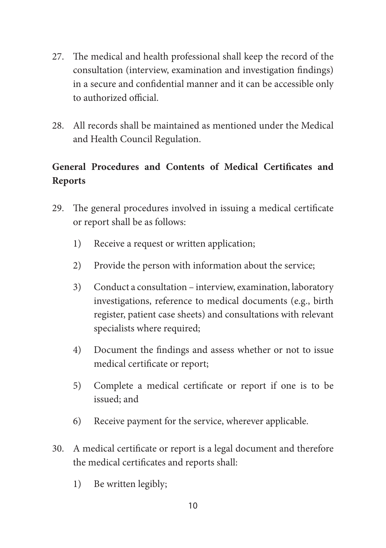- 27. The medical and health professional shall keep the record of the consultation (interview, examination and investigation findings) in a secure and confidential manner and it can be accessible only to authorized official.
- 28. All records shall be maintained as mentioned under the Medical and Health Council Regulation.

# **General Procedures and Contents of Medical Certificates and Reports**

- 29. The general procedures involved in issuing a medical certificate or report shall be as follows:
	- 1) Receive a request or written application;
	- 2) Provide the person with information about the service;
	- 3) Conduct a consultation interview, examination, laboratory investigations, reference to medical documents (e.g., birth register, patient case sheets) and consultations with relevant specialists where required;
	- 4) Document the findings and assess whether or not to issue medical certificate or report;
	- 5) Complete a medical certificate or report if one is to be issued; and
	- 6) Receive payment for the service, wherever applicable.
- 30. A medical certificate or report is a legal document and therefore the medical certificates and reports shall:
	- 1) Be written legibly;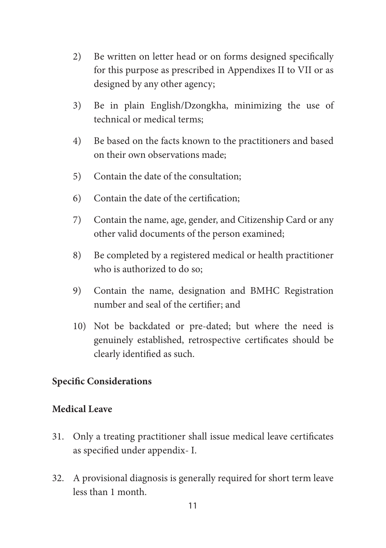- 2) Be written on letter head or on forms designed specifically for this purpose as prescribed in Appendixes II to VII or as designed by any other agency;
- 3) Be in plain English/Dzongkha, minimizing the use of technical or medical terms;
- 4) Be based on the facts known to the practitioners and based on their own observations made;
- 5) Contain the date of the consultation;
- 6) Contain the date of the certification;
- 7) Contain the name, age, gender, and Citizenship Card or any other valid documents of the person examined;
- 8) Be completed by a registered medical or health practitioner who is authorized to do so;
- 9) Contain the name, designation and BMHC Registration number and seal of the certifier; and
- 10) Not be backdated or pre-dated; but where the need is genuinely established, retrospective certificates should be clearly identified as such.

### **Specific Considerations**

#### **Medical Leave**

- 31. Only a treating practitioner shall issue medical leave certificates as specified under appendix- I.
- 32. A provisional diagnosis is generally required for short term leave less than 1 month.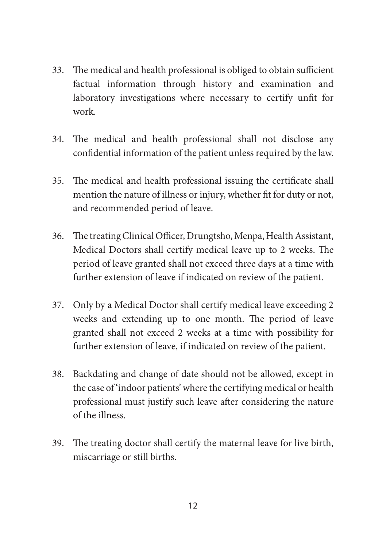- 33. The medical and health professional is obliged to obtain sufficient factual information through history and examination and laboratory investigations where necessary to certify unfit for work.
- 34. The medical and health professional shall not disclose any confidential information of the patient unless required by the law.
- 35. The medical and health professional issuing the certificate shall mention the nature of illness or injury, whether fit for duty or not, and recommended period of leave.
- 36. The treating Clinical Officer, Drungtsho, Menpa, Health Assistant, Medical Doctors shall certify medical leave up to 2 weeks. The period of leave granted shall not exceed three days at a time with further extension of leave if indicated on review of the patient.
- 37. Only by a Medical Doctor shall certify medical leave exceeding 2 weeks and extending up to one month. The period of leave granted shall not exceed 2 weeks at a time with possibility for further extension of leave, if indicated on review of the patient.
- 38. Backdating and change of date should not be allowed, except in the case of 'indoor patients' where the certifying medical or health professional must justify such leave after considering the nature of the illness.
- 39. The treating doctor shall certify the maternal leave for live birth, miscarriage or still births.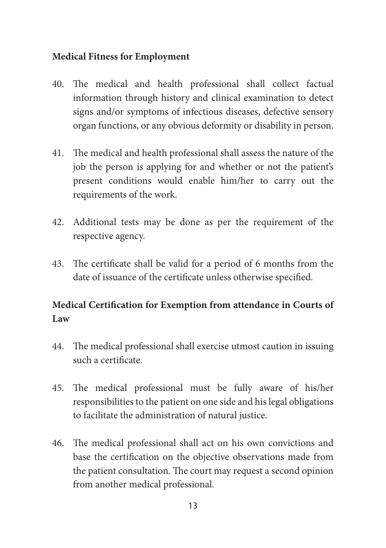#### **Medical Fitness for Employment**

- 40. The medical and health professional shall collect factual information through history and clinical examination to detect signs and/or symptoms of infectious diseases, defective sensory organ functions, or any obvious deformity or disability in person.
- 41. The medical and health professional shall assess the nature of the job the person is applying for and whether or not the patient's present conditions would enable him/her to carry out the requirements of the work.
- 42. Additional tests may be done as per the requirement of the respective agency.
- 43. The certificate shall be valid for a period of 6 months from the date of issuance of the certificate unless otherwise specified.

# **Medical Certification for Exemption from attendance in Courts of Law**

- 44. The medical professional shall exercise utmost caution in issuing such a certificate.
- 45. The medical professional must be fully aware of his/her responsibilities to the patient on one side and his legal obligations to facilitate the administration of natural justice.
- 46. The medical professional shall act on his own convictions and base the certification on the objective observations made from the patient consultation. The court may request a second opinion from another medical professional.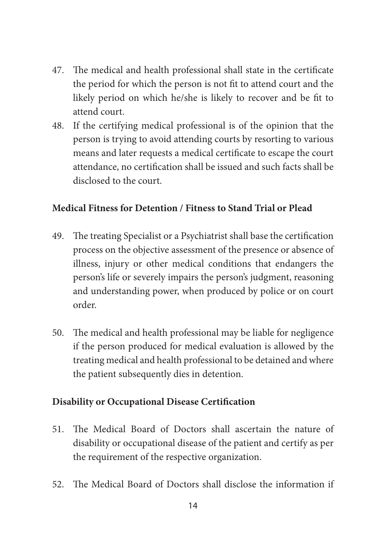- 47. The medical and health professional shall state in the certificate the period for which the person is not fit to attend court and the likely period on which he/she is likely to recover and be fit to attend court.
- 48. If the certifying medical professional is of the opinion that the person is trying to avoid attending courts by resorting to various means and later requests a medical certificate to escape the court attendance, no certification shall be issued and such facts shall be disclosed to the court.

#### **Medical Fitness for Detention / Fitness to Stand Trial or Plead**

- 49. The treating Specialist or a Psychiatrist shall base the certification process on the objective assessment of the presence or absence of illness, injury or other medical conditions that endangers the person's life or severely impairs the person's judgment, reasoning and understanding power, when produced by police or on court order.
- 50. The medical and health professional may be liable for negligence if the person produced for medical evaluation is allowed by the treating medical and health professional to be detained and where the patient subsequently dies in detention.

#### **Disability or Occupational Disease Certification**

- 51. The Medical Board of Doctors shall ascertain the nature of disability or occupational disease of the patient and certify as per the requirement of the respective organization.
- 52. The Medical Board of Doctors shall disclose the information if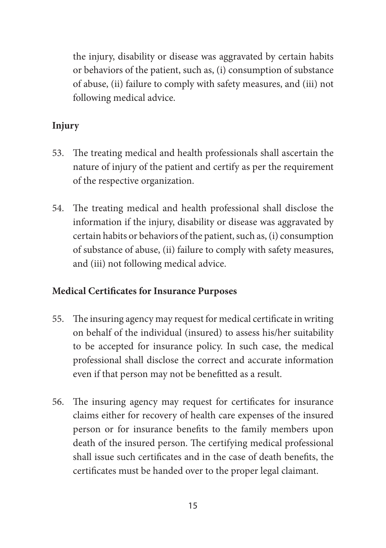the injury, disability or disease was aggravated by certain habits or behaviors of the patient, such as, (i) consumption of substance of abuse, (ii) failure to comply with safety measures, and (iii) not following medical advice.

# **Injury**

- 53. The treating medical and health professionals shall ascertain the nature of injury of the patient and certify as per the requirement of the respective organization.
- 54. The treating medical and health professional shall disclose the information if the injury, disability or disease was aggravated by certain habits or behaviors of the patient, such as, (i) consumption of substance of abuse, (ii) failure to comply with safety measures, and (iii) not following medical advice.

### **Medical Certificates for Insurance Purposes**

- 55. The insuring agency may request for medical certificate in writing on behalf of the individual (insured) to assess his/her suitability to be accepted for insurance policy. In such case, the medical professional shall disclose the correct and accurate information even if that person may not be benefitted as a result.
- 56. The insuring agency may request for certificates for insurance claims either for recovery of health care expenses of the insured person or for insurance benefits to the family members upon death of the insured person. The certifying medical professional shall issue such certificates and in the case of death benefits, the certificates must be handed over to the proper legal claimant.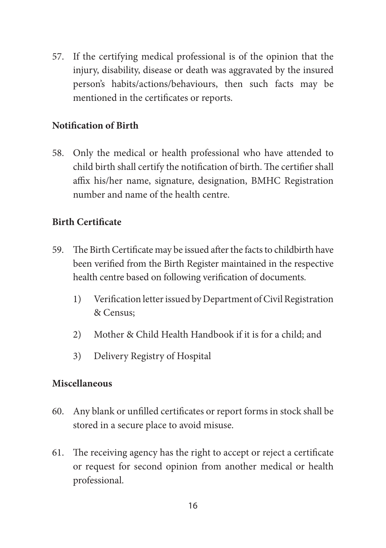57. If the certifying medical professional is of the opinion that the injury, disability, disease or death was aggravated by the insured person's habits/actions/behaviours, then such facts may be mentioned in the certificates or reports.

#### **Notification of Birth**

58. Only the medical or health professional who have attended to child birth shall certify the notification of birth. The certifier shall affix his/her name, signature, designation, BMHC Registration number and name of the health centre.

#### **Birth Certificate**

- 59. The Birth Certificate may be issued after the facts to childbirth have been verified from the Birth Register maintained in the respective health centre based on following verification of documents.
	- 1) Verification letter issued by Department of Civil Registration & Census;
	- 2) Mother & Child Health Handbook if it is for a child; and
	- 3) Delivery Registry of Hospital

#### **Miscellaneous**

- 60. Any blank or unfilled certificates or report forms in stock shall be stored in a secure place to avoid misuse.
- 61. The receiving agency has the right to accept or reject a certificate or request for second opinion from another medical or health professional.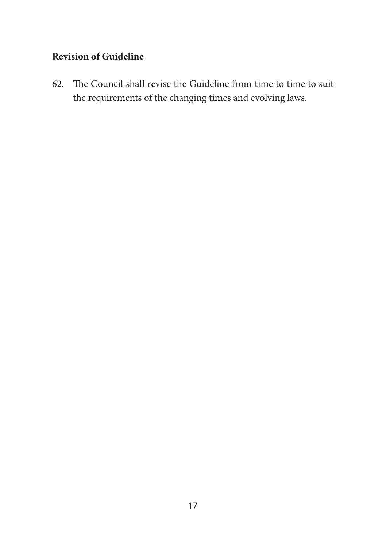# **Revision of Guideline**

62. The Council shall revise the Guideline from time to time to suit the requirements of the changing times and evolving laws.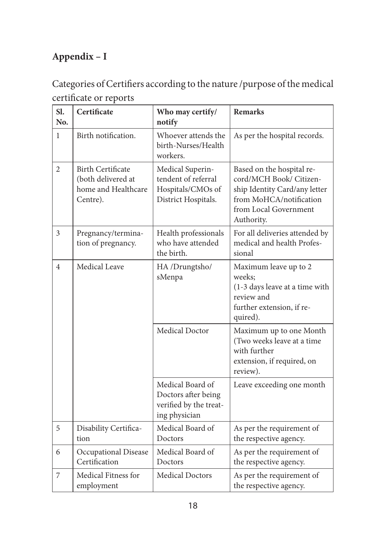# **Appendix – I**

Categories of Certifiers according to the nature /purpose of the medical certificate or reports

| Sl.<br>No.     | Certificate                                                                       | Who may certify/<br>notify                                                          | <b>Remarks</b>                                                                                                                                          |
|----------------|-----------------------------------------------------------------------------------|-------------------------------------------------------------------------------------|---------------------------------------------------------------------------------------------------------------------------------------------------------|
| 1              | Birth notification.                                                               | Whoever attends the<br>birth-Nurses/Health<br>workers.                              | As per the hospital records.                                                                                                                            |
| $\overline{c}$ | <b>Birth Certificate</b><br>(both delivered at<br>home and Healthcare<br>Centre). | Medical Superin-<br>tendent of referral<br>Hospitals/CMOs of<br>District Hospitals. | Based on the hospital re-<br>cord/MCH Book/ Citizen-<br>ship Identity Card/any letter<br>from MoHCA/notification<br>from Local Government<br>Authority. |
| 3              | Pregnancy/termina-<br>tion of pregnancy.                                          | Health professionals<br>who have attended<br>the birth.                             | For all deliveries attended by<br>medical and health Profes-<br>sional                                                                                  |
| 4              | Medical Leave                                                                     | HA /Drungtsho/<br>sMenpa                                                            | Maximum leave up to 2<br>weeks;<br>(1-3 days leave at a time with<br>review and<br>further extension, if re-<br>quired).                                |
|                |                                                                                   | Medical Doctor                                                                      | Maximum up to one Month<br>(Two weeks leave at a time<br>with further<br>extension, if required, on<br>review).                                         |
|                |                                                                                   | Medical Board of<br>Doctors after being<br>verified by the treat-<br>ing physician  | Leave exceeding one month                                                                                                                               |
| 5              | Disability Certifica-<br>tion                                                     | Medical Board of<br>Doctors                                                         | As per the requirement of<br>the respective agency.                                                                                                     |
| 6              | Occupational Disease<br>Certification                                             | Medical Board of<br>Doctors                                                         | As per the requirement of<br>the respective agency.                                                                                                     |
| 7              | Medical Fitness for<br>employment                                                 | <b>Medical Doctors</b>                                                              | As per the requirement of<br>the respective agency.                                                                                                     |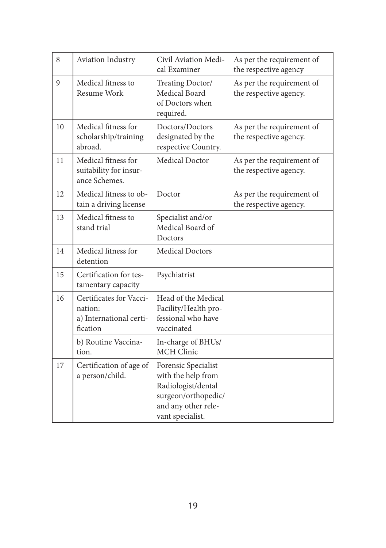| 8  | Aviation Industry                                                         | Civil Aviation Medi-<br>cal Examiner                                                                                              | As per the requirement of<br>the respective agency  |
|----|---------------------------------------------------------------------------|-----------------------------------------------------------------------------------------------------------------------------------|-----------------------------------------------------|
| 9  | Medical fitness to<br>Resume Work                                         | Treating Doctor/<br>Medical Board<br>of Doctors when<br>required.                                                                 | As per the requirement of<br>the respective agency. |
| 10 | Medical fitness for<br>scholarship/training<br>abroad.                    | Doctors/Doctors<br>designated by the<br>respective Country.                                                                       | As per the requirement of<br>the respective agency. |
| 11 | Medical fitness for<br>suitability for insur-<br>ance Schemes.            | Medical Doctor                                                                                                                    | As per the requirement of<br>the respective agency. |
| 12 | Medical fitness to ob-<br>tain a driving license                          | Doctor                                                                                                                            | As per the requirement of<br>the respective agency. |
| 13 | Medical fitness to<br>stand trial                                         | Specialist and/or<br>Medical Board of<br>Doctors                                                                                  |                                                     |
| 14 | Medical fitness for<br>detention                                          | <b>Medical Doctors</b>                                                                                                            |                                                     |
| 15 | Certification for tes-<br>tamentary capacity                              | Psychiatrist                                                                                                                      |                                                     |
| 16 | Certificates for Vacci-<br>nation:<br>a) International certi-<br>fication | Head of the Medical<br>Facility/Health pro-<br>fessional who have<br>vaccinated                                                   |                                                     |
|    | b) Routine Vaccina-<br>tion.                                              | In-charge of BHUs/<br><b>MCH</b> Clinic                                                                                           |                                                     |
| 17 | Certification of age of<br>a person/child.                                | Forensic Specialist<br>with the help from<br>Radiologist/dental<br>surgeon/orthopedic/<br>and any other rele-<br>vant specialist. |                                                     |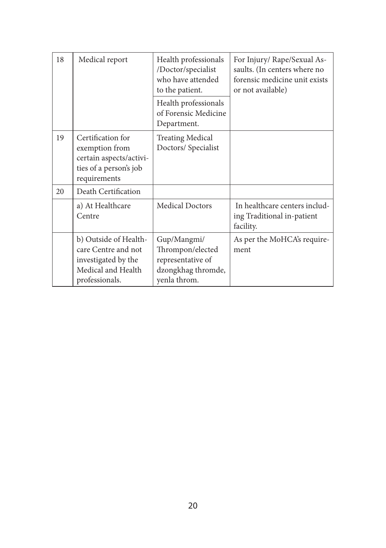| 18 | Medical report                                                                                              | Health professionals<br>/Doctor/specialist<br>who have attended<br>to the patient.         | For Injury/ Rape/Sexual As-<br>saults. (In centers where no<br>forensic medicine unit exists<br>or not available) |
|----|-------------------------------------------------------------------------------------------------------------|--------------------------------------------------------------------------------------------|-------------------------------------------------------------------------------------------------------------------|
|    |                                                                                                             | Health professionals<br>of Forensic Medicine<br>Department.                                |                                                                                                                   |
| 19 | Certification for<br>exemption from<br>certain aspects/activi-<br>ties of a person's job<br>requirements    | Treating Medical<br>Doctors/Specialist                                                     |                                                                                                                   |
| 20 | Death Certification                                                                                         |                                                                                            |                                                                                                                   |
|    | a) At Healthcare<br>Centre                                                                                  | <b>Medical Doctors</b>                                                                     | In healthcare centers includ-<br>ing Traditional in-patient<br>facility.                                          |
|    | b) Outside of Health-<br>care Centre and not<br>investigated by the<br>Medical and Health<br>professionals. | Gup/Mangmi/<br>Thrompon/elected<br>representative of<br>dzongkhag thromde,<br>yenla throm. | As per the MoHCA's require-<br>ment                                                                               |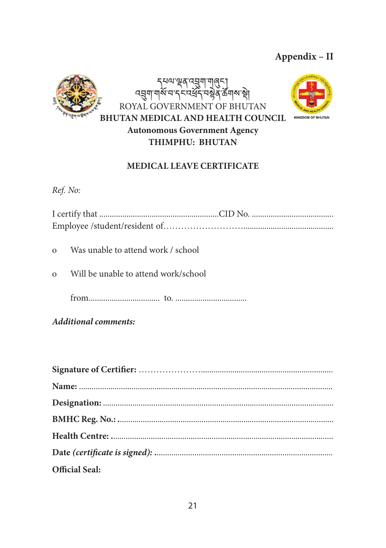# **Appendix – II**





#### **MEDICAL LEAVE CERTIFICATE**

*Ref. No:*

| o Was unable to attend work / school   |
|----------------------------------------|
| o Will be unable to attend work/school |
|                                        |

*Additional comments:*

| <b>Official Seal:</b> |
|-----------------------|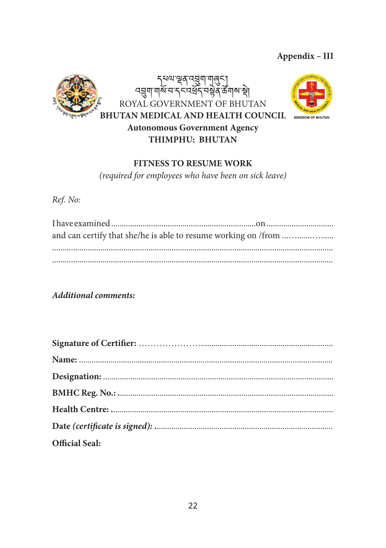Appendix - III





#### **FITNESS TO RESUME WORK**

(required for employees who have been on sick leave)

Ref. No:

**Additional comments:** 

| Official Seal: |
|----------------|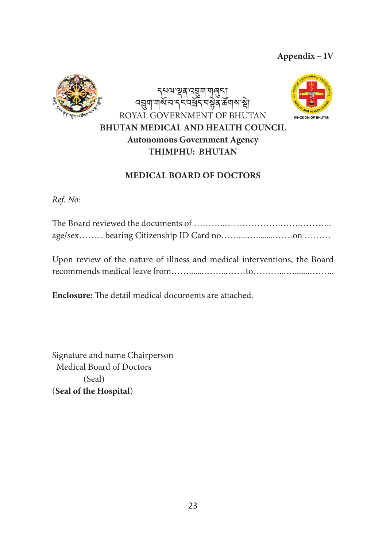**Appendix – IV**



إِبْرِيَّ\| إِسْلِيْمَ الْمَسْلِمِينَ مِنْ الْمَسْلِمِينَ ব্র্মা শর্ম ন'ব নম্বর্ব নম্বর উন্মক শ্বা ROYAL GOVERNMENT OF BHUTAN **BHUTAN MEDICAL AND HEALTH COUNCIL Autonomous Government Agency THIMPHU: BHUTAN**



#### **MEDICAL BOARD OF DOCTORS**

*Ref. No:*

Upon review of the nature of illness and medical interventions, the Board recommends medical leave from…….......……...……to………...….......……...

**Enclosure:** The detail medical documents are attached.

Signature and name Chairperson Medical Board of Doctors (Seal) (**Seal of the Hospital**)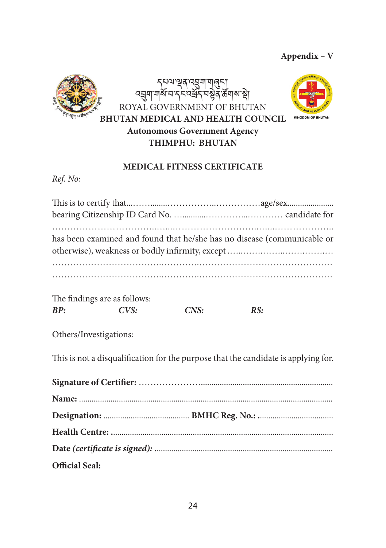#### **Appendix – V**



হে দুদ্দা ব্ৰূপ প্ৰমাণ<br>মুমুম সম্পৰ্ক ।শ্লুব্ৰ`ৰ্ক্টশৰ্মাস্থ্ৰ ROYAL GOVERNMENT OF BHUTAN **BHUTAN MEDICAL AND HEALTH COUNCIL Autonomous Government Agency THIMPHU: BHUTAN**



#### **MEDICAL FITNESS CERTIFICATE**

*Ref. No:*

|                              |      |      | has been examined and found that he/she has no disease (communicable or |
|------------------------------|------|------|-------------------------------------------------------------------------|
|                              |      |      |                                                                         |
|                              |      |      |                                                                         |
|                              |      |      |                                                                         |
| The findings are as follows: |      |      |                                                                         |
| RP:                          | CVS: | CNS: | RS:                                                                     |

Others/Investigations:

This is not a disqualification for the purpose that the candidate is applying for.

| <b>Official Seal:</b> |  |
|-----------------------|--|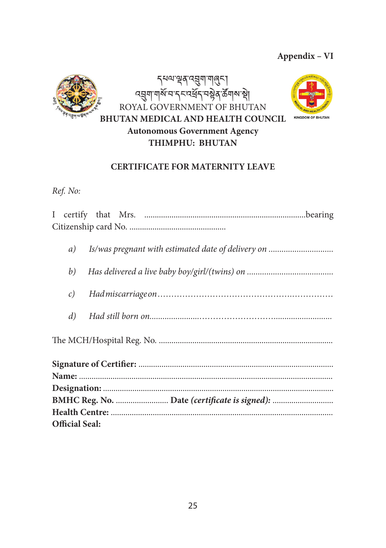#### **Appendix – VI**





#### **CERTIFICATE FOR MATERNITY LEAVE**

#### *Ref. No:*

| Is/was pregnant with estimated date of delivery on<br>a) |  |  |
|----------------------------------------------------------|--|--|
| b)                                                       |  |  |
|                                                          |  |  |
| $\mathcal{C}$ )                                          |  |  |
|                                                          |  |  |
| d)                                                       |  |  |
|                                                          |  |  |
|                                                          |  |  |
|                                                          |  |  |
|                                                          |  |  |
|                                                          |  |  |
|                                                          |  |  |
|                                                          |  |  |
|                                                          |  |  |
|                                                          |  |  |
| <b>Official Seal:</b>                                    |  |  |